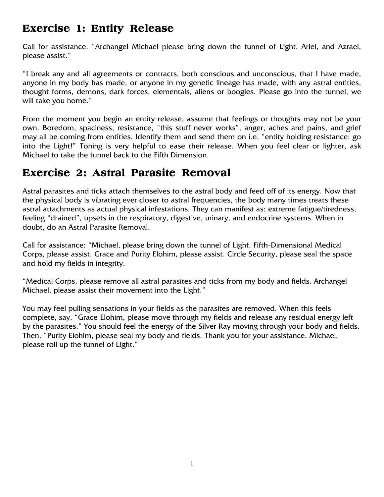## **Exercise 1: Entity Release 1: Entity Release**

Call for assistance. "Archangel Michael please bring down the tunnel of Light. Ariel, and Azrael, please assist."

"I break any and all agreements or contracts, both conscious and unconscious, that I have made, anyone in my body has made, or anyone in my genetic lineage has made, with any astral entities, thought forms, demons, dark forces, elementals, aliens or boogies. Please go into the tunnel, we will take you home."

From the moment you begin an entity release, assume that feelings or thoughts may not be your own. Boredom, spaciness, resistance, "this stuff never works", anger, aches and pains, and grief may all be coming from entities. Identify them and send them on i.e. "entity holding resistance: go into the Light!" Toning is very helpful to ease their release. When you feel clear or lighter, ask Michael to take the tunnel back to the Fifth Dimension.

# **Exercise 2: Astral Parasite Removal**

Astral parasites and ticks attach themselves to the astral body and feed off of its energy. Now that the physical body is vibrating ever closer to astral frequencies, the body many times treats these astral attachments as actual physical infestations. They can manifest as: extreme fatigue/tiredness, feeling "drained", upsets in the respiratory, digestive, urinary, and endocrine systems. When in doubt, do an Astral Parasite Removal.

Call for assistance: "Michael, please bring down the tunnel of Light. Fifth-Dimensional Medical Corps, please assist. Grace and Purity Elohim, please assist. Circle Security, please seal the space and hold my fields in integrity.

"Medical Corps, please remove all astral parasites and ticks from my body and fields. Archangel Michael, please assist their movement into the Light."

You may feel pulling sensations in your fields as the parasites are removed. When this feels complete, say, "Grace Elohim, please move through my fields and release any residual energy left by the parasites." You should feel the energy of the Silver Ray moving through your body and fields. Then, "Purity Elohim, please seal my body and fields. Thank you for your assistance. Michael, please roll up the tunnel of Light."